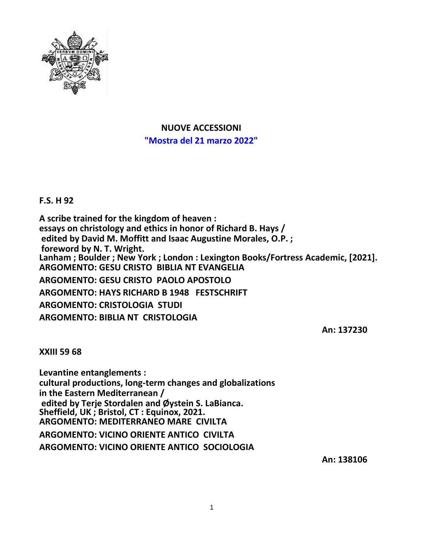

**NUOVE ACCESSIONI "Mostra del 21 marzo 2022"**

**F.S. H 92**

**A scribe trained for the kingdom of heaven : essays on christology and ethics in honor of Richard B. Hays / edited by David M. Moffitt and Isaac Augustine Morales, O.P. ; foreword by N. T. Wright. Lanham ; Boulder ; New York ; London : Lexington Books/Fortress Academic, [2021]. ARGOMENTO: GESU CRISTO BIBLIA NT EVANGELIA ARGOMENTO: GESU CRISTO PAOLO APOSTOLO ARGOMENTO: HAYS RICHARD B 1948 FESTSCHRIFT ARGOMENTO: CRISTOLOGIA STUDI ARGOMENTO: BIBLIA NT CRISTOLOGIA**

**An: 137230**

**XXIII 59 68**

**Levantine entanglements : cultural productions, long-term changes and globalizations in the Eastern Mediterranean / edited by Terje Stordalen and Øystein S. LaBianca. Sheffield, UK ; Bristol, CT : Equinox, 2021. ARGOMENTO: MEDITERRANEO MARE CIVILTA ARGOMENTO: VICINO ORIENTE ANTICO CIVILTA ARGOMENTO: VICINO ORIENTE ANTICO SOCIOLOGIA**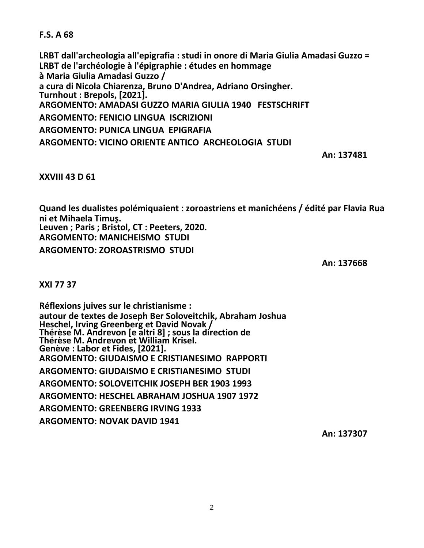**F.S. A 68**

**LRBT dall'archeologia all'epigrafia : studi in onore di Maria Giulia Amadasi Guzzo = LRBT de l'archéologie à l'épigraphie : études en hommage à Maria Giulia Amadasi Guzzo / a cura di Nicola Chiarenza, Bruno D'Andrea, Adriano Orsingher. Turnhout : Brepols, [2021]. ARGOMENTO: AMADASI GUZZO MARIA GIULIA 1940 FESTSCHRIFT ARGOMENTO: FENICIO LINGUA ISCRIZIONI ARGOMENTO: PUNICA LINGUA EPIGRAFIA ARGOMENTO: VICINO ORIENTE ANTICO ARCHEOLOGIA STUDI**

**An: 137481**

**XXVIII 43 D 61**

**Quand les dualistes polémiquaient : zoroastriens et manichéens / édité par Flavia Rua ni et Mihaela Timuş. Leuven ; Paris ; Bristol, CT : Peeters, 2020. ARGOMENTO: MANICHEISMO STUDI**

**ARGOMENTO: ZOROASTRISMO STUDI**

**An: 137668**

**XXI 77 37**

**Réflexions juives sur le christianisme : autour de textes de Joseph Ber Soloveitchik, Abraham Joshua Heschel, Irving Greenberg et David Novak / Thérèse M. Andrevon [e altri 8] ; sous la direction de Thérèse M. Andrevon et William Krisel. Genève : Labor et Fides, [2021]. ARGOMENTO: GIUDAISMO E CRISTIANESIMO RAPPORTI ARGOMENTO: GIUDAISMO E CRISTIANESIMO STUDI ARGOMENTO: SOLOVEITCHIK JOSEPH BER 1903 1993 ARGOMENTO: HESCHEL ABRAHAM JOSHUA 1907 1972 ARGOMENTO: GREENBERG IRVING 1933 ARGOMENTO: NOVAK DAVID 1941**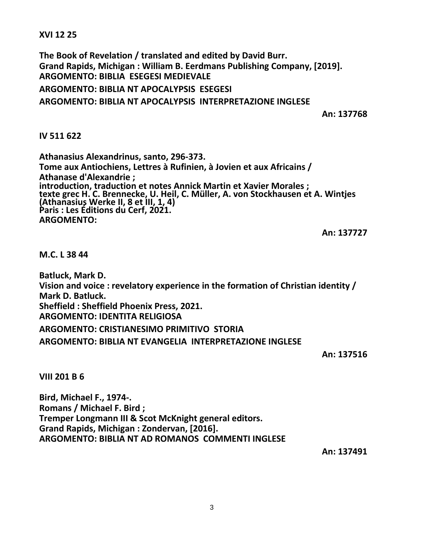**XVI 12 25**

**The Book of Revelation / translated and edited by David Burr. Grand Rapids, Michigan : William B. Eerdmans Publishing Company, [2019]. ARGOMENTO: BIBLIA ESEGESI MEDIEVALE**

**ARGOMENTO: BIBLIA NT APOCALYPSIS ESEGESI**

**ARGOMENTO: BIBLIA NT APOCALYPSIS INTERPRETAZIONE INGLESE**

**An: 137768**

## **IV 511 622**

**Athanasius Alexandrinus, santo, 296-373. Tome aux Antiochiens, Lettres à Rufinien, à Jovien et aux Africains / Athanase d'Alexandrie ; introduction, traduction et notes Annick Martin et Xavier Morales ; texte grec H. C. Brennecke, U. Heil, C. Müller, A. von Stockhausen et A. Wintjes (Athanasius Werke II, 8 et III, 1, 4) Paris : Les Éditions du Cerf, 2021. ARGOMENTO:**

**An: 137727**

**M.C. L 38 44**

**Batluck, Mark D. Vision and voice : revelatory experience in the formation of Christian identity / Mark D. Batluck. Sheffield : Sheffield Phoenix Press, 2021. ARGOMENTO: IDENTITA RELIGIOSA ARGOMENTO: CRISTIANESIMO PRIMITIVO STORIA ARGOMENTO: BIBLIA NT EVANGELIA INTERPRETAZIONE INGLESE**

**An: 137516**

**VIII 201 B 6**

**Bird, Michael F., 1974-. Romans / Michael F. Bird ; Tremper Longmann III & Scot McKnight general editors. Grand Rapids, Michigan : Zondervan, [2016]. ARGOMENTO: BIBLIA NT AD ROMANOS COMMENTI INGLESE**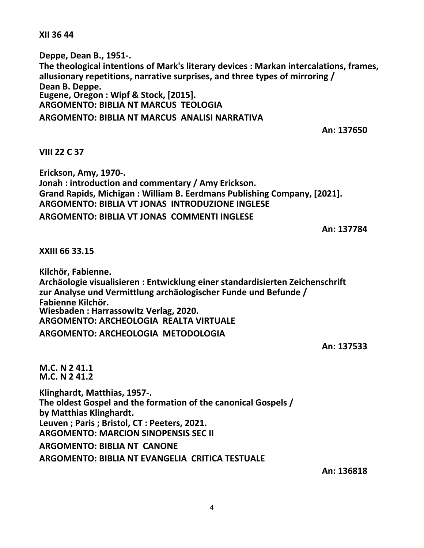**XII 36 44**

**Deppe, Dean B., 1951-. The theological intentions of Mark's literary devices : Markan intercalations, frames, allusionary repetitions, narrative surprises, and three types of mirroring / Dean B. Deppe. Eugene, Oregon : Wipf & Stock, [2015]. ARGOMENTO: BIBLIA NT MARCUS TEOLOGIA**

**ARGOMENTO: BIBLIA NT MARCUS ANALISI NARRATIVA**

**An: 137650**

## **VIII 22 C 37**

**Erickson, Amy, 1970-. Jonah : introduction and commentary / Amy Erickson. Grand Rapids, Michigan : William B. Eerdmans Publishing Company, [2021]. ARGOMENTO: BIBLIA VT JONAS INTRODUZIONE INGLESE ARGOMENTO: BIBLIA VT JONAS COMMENTI INGLESE**

**An: 137784**

**XXIII 66 33.15**

**Kilchör, Fabienne. Archäologie visualisieren : Entwicklung einer standardisierten Zeichenschrift zur Analyse und Vermittlung archäologischer Funde und Befunde / Fabienne Kilchör. Wiesbaden : Harrassowitz Verlag, 2020. ARGOMENTO: ARCHEOLOGIA REALTA VIRTUALE ARGOMENTO: ARCHEOLOGIA METODOLOGIA**

**An: 137533**

**M.C. N 2 41.1 M.C. N 2 41.2 Klinghardt, Matthias, 1957-. The oldest Gospel and the formation of the canonical Gospels / by Matthias Klinghardt.**

**Leuven ; Paris ; Bristol, CT : Peeters, 2021. ARGOMENTO: MARCION SINOPENSIS SEC II**

**ARGOMENTO: BIBLIA NT CANONE**

**ARGOMENTO: BIBLIA NT EVANGELIA CRITICA TESTUALE**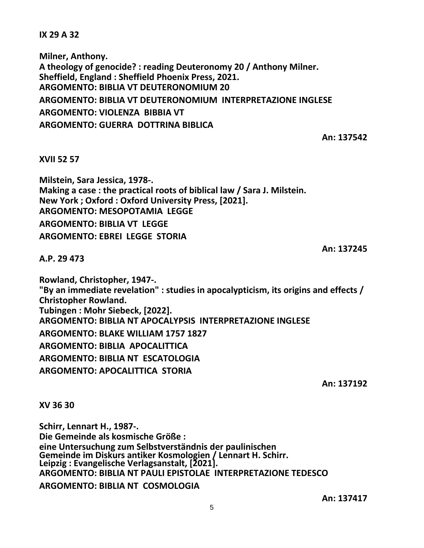**IX 29 A 32**

**Milner, Anthony. A theology of genocide? : reading Deuteronomy 20 / Anthony Milner. Sheffield, England : Sheffield Phoenix Press, 2021. ARGOMENTO: BIBLIA VT DEUTERONOMIUM 20 ARGOMENTO: BIBLIA VT DEUTERONOMIUM INTERPRETAZIONE INGLESE ARGOMENTO: VIOLENZA BIBBIA VT ARGOMENTO: GUERRA DOTTRINA BIBLICA**

**An: 137542**

## **XVII 52 57**

**Milstein, Sara Jessica, 1978-. Making a case : the practical roots of biblical law / Sara J. Milstein. New York ; Oxford : Oxford University Press, [2021]. ARGOMENTO: MESOPOTAMIA LEGGE ARGOMENTO: BIBLIA VT LEGGE ARGOMENTO: EBREI LEGGE STORIA**

**An: 137245**

**A.P. 29 473**

**Rowland, Christopher, 1947-. "By an immediate revelation" : studies in apocalypticism, its origins and effects / Christopher Rowland. Tubingen : Mohr Siebeck, [2022]. ARGOMENTO: BIBLIA NT APOCALYPSIS INTERPRETAZIONE INGLESE ARGOMENTO: BLAKE WILLIAM 1757 1827 ARGOMENTO: BIBLIA APOCALITTICA ARGOMENTO: BIBLIA NT ESCATOLOGIA ARGOMENTO: APOCALITTICA STORIA**

**An: 137192**

**XV 36 30**

**Schirr, Lennart H., 1987-. Die Gemeinde als kosmische Größe : eine Untersuchung zum Selbstverständnis der paulinischen Gemeinde im Diskurs antiker Kosmologien / Lennart H. Schirr. Leipzig : Evangelische Verlagsanstalt, [2021]. ARGOMENTO: BIBLIA NT PAULI EPISTOLAE INTERPRETAZIONE TEDESCO ARGOMENTO: BIBLIA NT COSMOLOGIA**